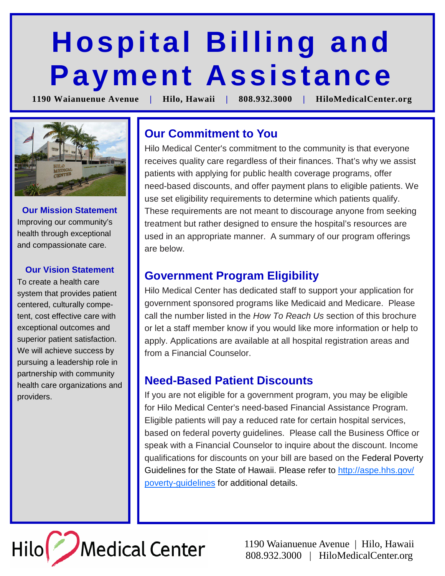# **Hospital Billing and Payment Assistance**

**1190 Waianuenue Avenue | Hilo, Hawaii | 808.932.3000 | HiloMedicalCenter.org** 



**Our Mission Statement**  Improving our community's health through exceptional and compassionate care.

#### **Our Vision Statement**

To create a health care system that provides patient centered, culturally competent, cost effective care with exceptional outcomes and superior patient satisfaction. We will achieve success by pursuing a leadership role in partnership with community health care organizations and providers.

# **Our Commitment to You**

Hilo Medical Center's commitment to the community is that everyone receives quality care regardless of their finances. That's why we assist patients with applying for public health coverage programs, offer need-based discounts, and offer payment plans to eligible patients. We use set eligibility requirements to determine which patients qualify. These requirements are not meant to discourage anyone from seeking treatment but rather designed to ensure the hospital's resources are used in an appropriate manner. A summary of our program offerings are below.

## **Government Program Eligibility**

Hilo Medical Center has dedicated staff to support your application for government sponsored programs like Medicaid and Medicare. Please call the number listed in the How To Reach Us section of this brochure or let a staff member know if you would like more information or help to apply. Applications are available at all hospital registration areas and from a Financial Counselor.

### **Need-Based Patient Discounts**

If you are not eligible for a government program, you may be eligible for Hilo Medical Center's need-based Financial Assistance Program. Eligible patients will pay a reduced rate for certain hospital services, based on federal poverty guidelines. Please call the Business Office or speak with a Financial Counselor to inquire about the discount. Income qualifications for discounts on your bill are based on the Federal Poverty Guidelines for the State of Hawaii. Please refer to http://aspe.hhs.gov/ poverty-guidelines for additional details.



1190 Waianuenue Avenue | Hilo, Hawaii 808.932.3000 | HiloMedicalCenter.org